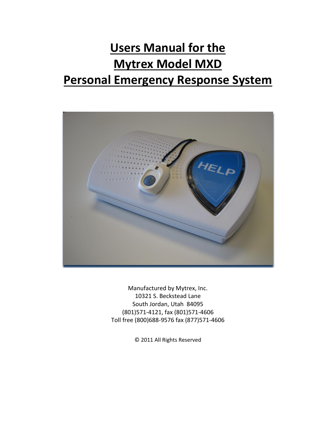# **Users Manual for the Mytrex Model MXD Personal Emergency Response System**



Manufactured by Mytrex, Inc. 10321 S. Beckstead Lane South Jordan, Utah 84095 (801)571-4121, fax (801)571-4606 Toll free (800)688-9576 fax (877)571-4606

© 2011 All Rights Reserved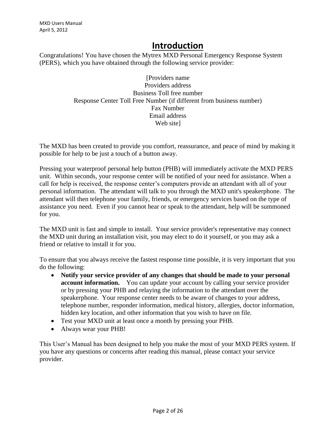# **Introduction**

Congratulations! You have chosen the Mytrex MXD Personal Emergency Response System (PERS), which you have obtained through the following service provider:

> [Providers name Providers address Business Toll free number Response Center Toll Free Number (if different from business number) Fax Number Email address Web sitel

The MXD has been created to provide you comfort, reassurance, and peace of mind by making it possible for help to be just a touch of a button away.

Pressing your waterproof personal help button (PHB) will immediately activate the MXD PERS unit. Within seconds, your response center will be notified of your need for assistance. When a call for help is received, the response center's computers provide an attendant with all of your personal information. The attendant will talk to you through the MXD unit's speakerphone. The attendant will then telephone your family, friends, or emergency services based on the type of assistance you need. Even if you cannot hear or speak to the attendant, help will be summoned for you.

The MXD unit is fast and simple to install. Your service provider's representative may connect the MXD unit during an installation visit, you may elect to do it yourself, or you may ask a friend or relative to install it for you.

To ensure that you always receive the fastest response time possible, it is very important that you do the following:

- **Notify your service provider of any changes that should be made to your personal account information.** You can update your account by calling your service provider or by pressing your PHB and relaying the information to the attendant over the speakerphone. Your response center needs to be aware of changes to your address, telephone number, responder information, medical history, allergies, doctor information, hidden key location, and other information that you wish to have on file.
- Test your MXD unit at least once a month by pressing your PHB.
- Always wear your PHB!

This User's Manual has been designed to help you make the most of your MXD PERS system. If you have any questions or concerns after reading this manual, please contact your service provider.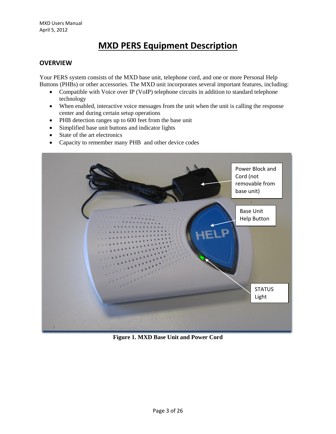# **MXD PERS Equipment Description**

### **OVERVIEW**

Your PERS system consists of the MXD base unit, telephone cord, and one or more Personal Help Buttons (PHBs) or other accessories. The MXD unit incorporates several important features, including:

- Compatible with Voice over IP (VoIP) telephone circuits in addition to standard telephone technology
- When enabled, interactive voice messages from the unit when the unit is calling the response center and during certain setup operations
- PHB detection ranges up to 600 feet from the base unit
- Simplified base unit buttons and indicator lights
- State of the art electronics
- Capacity to remember many PHB and other device codes



**Figure 1. MXD Base Unit and Power Cord**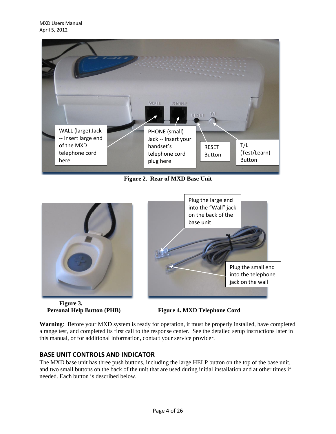

**Figure 2. Rear of MXD Base Unit**



**Figure 3.** 



 **Personal Help Button (PHB) Figure 4. MXD Telephone Cord**

**Warning**: Before your MXD system is ready for operation, it must be properly installed, have completed a range test, and completed its first call to the response center. See the detailed setup instructions later in this manual, or for additional information, contact your service provider.

# **BASE UNIT CONTROLS AND INDICATOR**

The MXD base unit has three push buttons, including the large HELP button on the top of the base unit, and two small buttons on the back of the unit that are used during initial installation and at other times if needed. Each button is described below.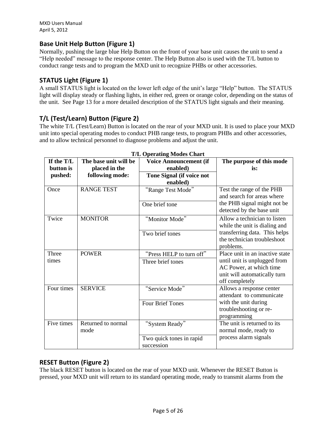# **Base Unit Help Button (Figure 1)**

Normally, pushing the large blue Help Button on the front of your base unit causes the unit to send a "Help needed" message to the response center. The Help Button also is used with the T/L button to conduct range tests and to program the MXD unit to recognize PHBs or other accessories.

# **STATUS Light (Figure 1)**

A small STATUS light is located on the lower left edge of the unit's large "Help" button. The STATUS light will display steady or flashing lights, in either red, green or orange color, depending on the status of the unit. See Page 13 for a more detailed description of the STATUS light signals and their meaning.

# **T/L (Test/Learn) Button (Figure 2)**

The white T/L (Test/Learn) Button is located on the rear of your MXD unit. It is used to place your MXD unit into special operating modes to conduct PHB range tests, to program PHBs and other accessories, and to allow technical personnel to diagnose problems and adjust the unit.

| <b>1/L Operating Modes Chart</b> |                       |                               |                                                                           |  |  |  |
|----------------------------------|-----------------------|-------------------------------|---------------------------------------------------------------------------|--|--|--|
| If the T/L                       | The base unit will be | <b>Voice Announcement (if</b> | The purpose of this mode                                                  |  |  |  |
| button is                        | placed in the         | enabled)                      | is:                                                                       |  |  |  |
| pushed:                          | following mode:       | Tone Signal (if voice not     |                                                                           |  |  |  |
|                                  |                       | enabled)                      |                                                                           |  |  |  |
| Once                             | <b>RANGE TEST</b>     | "Range Test Mode"             | Test the range of the PHB<br>and search for areas where                   |  |  |  |
|                                  |                       | One brief tone                | the PHB signal might not be<br>detected by the base unit                  |  |  |  |
| Twice                            | <b>MONITOR</b>        | "Monitor Mode"                | Allow a technician to listen<br>while the unit is dialing and             |  |  |  |
|                                  |                       | Two brief tones               | transferring data. This helps<br>the technician troubleshoot<br>problems. |  |  |  |
| Three                            | <b>POWER</b>          | "Press HELP to turn off"      | Place unit in an inactive state                                           |  |  |  |
| times                            |                       | Three brief tones             | until unit is unplugged from                                              |  |  |  |
|                                  |                       |                               | AC Power, at which time                                                   |  |  |  |
|                                  |                       |                               | unit will automatically turn                                              |  |  |  |
| Four times                       |                       |                               | off completely                                                            |  |  |  |
|                                  | <b>SERVICE</b>        | "Service Mode"                | Allows a response center<br>attendant to communicate                      |  |  |  |
|                                  |                       | <b>Four Brief Tones</b>       | with the unit during<br>troubleshooting or re-<br>programming             |  |  |  |
| Five times                       | Returned to normal    | "System Ready"                | The unit is returned to its                                               |  |  |  |
|                                  | mode                  |                               | normal mode, ready to                                                     |  |  |  |
|                                  |                       | Two quick tones in rapid      | process alarm signals                                                     |  |  |  |
|                                  |                       | succession                    |                                                                           |  |  |  |

#### $T/T$   $Q_{\text{meas}} t^* = M \cdot \text{Im } G$

# **RESET Button (Figure 2)**

The black RESET button is located on the rear of your MXD unit. Whenever the RESET Button is pressed, your MXD unit will return to its standard operating mode, ready to transmit alarms from the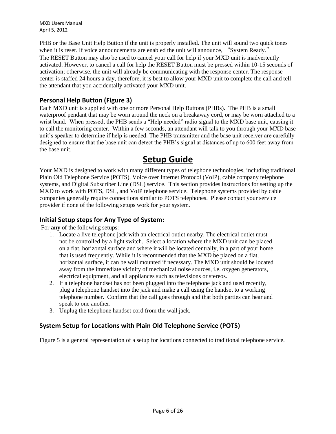PHB or the Base Unit Help Button if the unit is properly installed. The unit will sound two quick tones when it is reset. If voice announcements are enabled the unit will announce, "System Ready." The RESET Button may also be used to cancel your call for help if your MXD unit is inadvertently activated. However, to cancel a call for help the RESET Button must be pressed within 10-15 seconds of activation; otherwise, the unit will already be communicating with the response center. The response center is staffed 24 hours a day, therefore, it is best to allow your MXD unit to complete the call and tell the attendant that you accidentally activated your MXD unit.

# **Personal Help Button (Figure 3)**

Each MXD unit is supplied with one or more Personal Help Buttons (PHBs). The PHB is a small waterproof pendant that may be worn around the neck on a breakaway cord, or may be worn attached to a wrist band. When pressed, the PHB sends a "Help needed" radio signal to the MXD base unit, causing it to call the monitoring center. Within a few seconds, an attendant will talk to you through your MXD base unit's speaker to determine if help is needed. The PHB transmitter and the base unit receiver are carefully designed to ensure that the base unit can detect the PHB's signal at distances of up to 600 feet away from the base unit.

# **Setup Guide**

Your MXD is designed to work with many different types of telephone technologies, including traditional Plain Old Telephone Service (POTS), Voice over Internet Protocol (VoIP), cable company telephone systems, and Digital Subscriber Line (DSL) service. This section provides instructions for setting up the MXD to work with POTS, DSL, and VoIP telephone service. Telephone systems provided by cable companies generally require connections similar to POTS telephones. Please contact your service provider if none of the following setups work for your system.

# **Initial Setup steps for Any Type of System:**

For **any** of the following setups:

- 1. Locate a live telephone jack with an electrical outlet nearby. The electrical outlet must not be controlled by a light switch. Select a location where the MXD unit can be placed on a flat, horizontal surface and where it will be located centrally, in a part of your home that is used frequently. While it is recommended that the MXD be placed on a flat, horizontal surface, it can be wall mounted if necessary. The MXD unit should be located away from the immediate vicinity of mechanical noise sources, i.e. oxygen generators, electrical equipment, and all appliances such as televisions or stereos.
- 2. If a telephone handset has not been plugged into the telephone jack and used recently, plug a telephone handset into the jack and make a call using the handset to a working telephone number. Confirm that the call goes through and that both parties can hear and speak to one another.
- 3. Unplug the telephone handset cord from the wall jack.

# **System Setup for Locations with Plain Old Telephone Service (POTS)**

Figure 5 is a general representation of a setup for locations connected to traditional telephone service.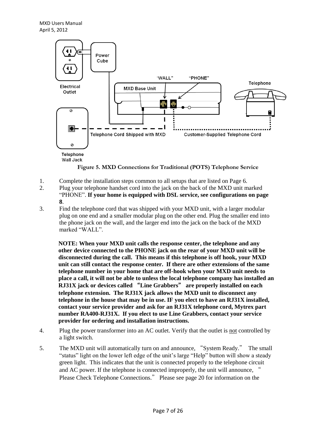

**Figure 5. MXD Connections for Traditional (POTS) Telephone Service**

- 1. Complete the installation steps common to all setups that are listed on Page 6.
- 2. Plug your telephone handset cord into the jack on the back of the MXD unit marked "PHONE". **If your home is equipped with DSL service, see configurations on page 8**.
- 3. Find the telephone cord that was shipped with your MXD unit, with a larger modular plug on one end and a smaller modular plug on the other end. Plug the smaller end into the phone jack on the wall, and the larger end into the jack on the back of the MXD marked "WALL".

**NOTE: When your MXD unit calls the response center, the telephone and any other device connected to the PHONE jack on the rear of your MXD unit will be disconnected during the call. This means if this telephone is off hook, your MXD unit can still contact the response center. If there are other extensions of the same telephone number in your home that are off-hook when your MXD unit needs to place a call, it will not be able to unless the local telephone company has installed an RJ31X jack or devices called** "**Line Grabbers**" **are properly installed on each telephone extension. The RJ31X jack allows the MXD unit to disconnect any telephone in the house that may be in use. IF you elect to have an RJ31X installed, contact your service provider and ask for an RJ31X telephone cord, Mytrex part number RA400-RJ31X. If you elect to use Line Grabbers, contact your service provider for ordering and installation instructions.** 

- 4. Plug the power transformer into an AC outlet. Verify that the outlet is not controlled by a light switch.
- 5. The MXD unit will automatically turn on and announce, "System Ready." The small "status" light on the lower left edge of the unit's large "Help" button will show a steady green light. This indicates that the unit is connected properly to the telephone circuit and AC power. If the telephone is connected improperly, the unit will announce,  $\dot{\ }$ Please Check Telephone Connections." Please see page 20 for information on the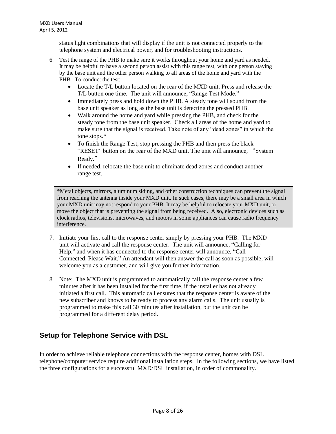status light combinations that will display if the unit is not connected properly to the telephone system and electrical power, and for troubleshooting instructions.

- 6. Test the range of the PHB to make sure it works throughout your home and yard as needed. It may be helpful to have a second person assist with this range test, with one person staying by the base unit and the other person walking to all areas of the home and yard with the PHB. To conduct the test:
	- Locate the T/L button located on the rear of the MXD unit. Press and release the T/L button one time. The unit will announce, "Range Test Mode."
	- Immediately press and hold down the PHB. A steady tone will sound from the base unit speaker as long as the base unit is detecting the pressed PHB.
	- Walk around the home and yard while pressing the PHB, and check for the steady tone from the base unit speaker. Check all areas of the home and yard to make sure that the signal is received. Take note of any "dead zones" in which the tone stops.\*
	- To finish the Range Test, stop pressing the PHB and then press the black "RESET" button on the rear of the MXD unit. The unit will announce, "System Ready."
	- If needed, relocate the base unit to eliminate dead zones and conduct another range test.

\*Metal objects, mirrors, aluminum siding, and other construction techniques can prevent the signal from reaching the antenna inside your MXD unit. In such cases, there may be a small area in which your MXD unit may not respond to your PHB. It may be helpful to relocate your MXD unit, or move the object that is preventing the signal from being received. Also, electronic devices such as clock radios, televisions, microwaves, and motors in some appliances can cause radio frequency interference.

- 7. Initiate your first call to the response center simply by pressing your PHB. The MXD unit will activate and call the response center. The unit will announce, "Calling for Help," and when it has connected to the response center will announce, "Call Connected, Please Wait." An attendant will then answer the call as soon as possible, will welcome you as a customer, and will give you further information.
- 8. Note: The MXD unit is programmed to automatically call the response center a few minutes after it has been installed for the first time, if the installer has not already initiated a first call. This automatic call ensures that the response center is aware of the new subscriber and knows to be ready to process any alarm calls. The unit usually is programmed to make this call 30 minutes after installation, but the unit can be programmed for a different delay period.

# **Setup for Telephone Service with DSL**

In order to achieve reliable telephone connections with the response center, homes with DSL telephone/computer service require additional installation steps. In the following sections, we have listed the three configurations for a successful MXD/DSL installation, in order of commonality.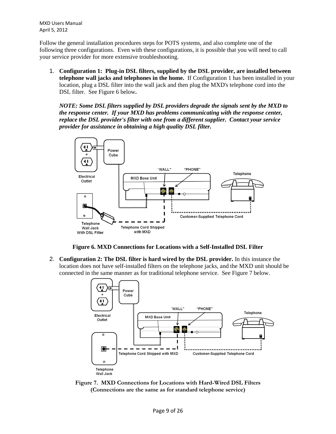Follow the general installation procedures steps for POTS systems, and also complete one of the following three configurations. Even with these configurations, it is possible that you will need to call your service provider for more extensive troubleshooting.

1. **Configuration 1: Plug-in DSL filters, supplied by the DSL provider, are installed between telephone wall jacks and telephones in the home.** If Configuration 1 has been installed in your location, plug a DSL filter into the wall jack and then plug the MXD's telephone cord into the DSL filter. See Figure 6 below**.** 

*NOTE: Some DSL filters supplied by DSL providers degrade the signals sent by the MXD to the response center. If your MXD has problems communicating with the response center, replace the DSL provider's filter with one from a different supplier. Contact your service provider for assistance in obtaining a high quality DSL filter.* 



**Figure 6. MXD Connections for Locations with a Self-Installed DSL Filter**

2. **Configuration 2: The DSL filter is hard wired by the DSL provider.** In this instance the location does not have self-installed filters on the telephone jacks, and the MXD unit should be connected in the same manner as for traditional telephone service. See Figure 7 below.



**Figure 7. MXD Connections for Locations with Hard-Wired DSL Filters (Connections are the same as for standard telephone service)**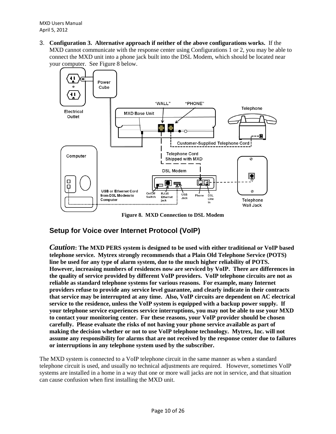3. **Configuration 3. Alternative approach if neither of the above configurations works.** If the MXD cannot communicate with the response center using Configurations 1 or 2, you may be able to connect the MXD unit into a phone jack built into the DSL Modem, which should be located near your computer. See Figure 8 below.



**Figure 8. MXD Connection to DSL Modem**

# **Setup for Voice over Internet Protocol (VoIP)**

*Caution***: The MXD PERS system is designed to be used with either traditional or VoIP based telephone service. Mytrex strongly recommends that a Plain Old Telephone Service (POTS) line be used for any type of alarm system, due to the much higher reliability of POTS. However, increasing numbers of residences now are serviced by VoIP. There are differences in the quality of service provided by different VoIP providers. VoIP telephone circuits are not as reliable as standard telephone systems for various reasons. For example, many Internet providers refuse to provide any service level guarantee, and clearly indicate in their contracts that service may be interrupted at any time. Also, VoIP circuits are dependent on AC electrical service to the residence, unless the VoIP system is equipped with a backup power supply. If your telephone service experiences service interruptions, you may not be able to use your MXD to contact your monitoring center. For these reasons, your VoIP provider should be chosen carefully. Please evaluate the risks of not having your phone service available as part of making the decision whether or not to use VoIP telephone technology. Mytrex, Inc. will not assume any responsibility for alarms that are not received by the response center due to failures or interruptions in any telephone system used by the subscriber.** 

The MXD system is connected to a VoIP telephone circuit in the same manner as when a standard telephone circuit is used, and usually no technical adjustments are required. However, sometimes VoIP systems are installed in a home in a way that one or more wall jacks are not in service, and that situation can cause confusion when first installing the MXD unit.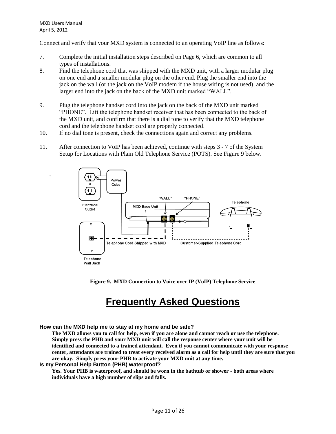**.**

Connect and verify that your MXD system is connected to an operating VoIP line as follows:

- 7. Complete the initial installation steps described on Page 6, which are common to all types of installations.
- 8. Find the telephone cord that was shipped with the MXD unit, with a larger modular plug on one end and a smaller modular plug on the other end. Plug the smaller end into the jack on the wall (or the jack on the VoIP modem if the house wiring is not used), and the larger end into the jack on the back of the MXD unit marked "WALL".
- 9. Plug the telephone handset cord into the jack on the back of the MXD unit marked "PHONE". Lift the telephone handset receiver that has been connected to the back of the MXD unit, and confirm that there is a dial tone to verify that the MXD telephone cord and the telephone handset cord are properly connected.
- 10. If no dial tone is present, check the connections again and correct any problems.
- 11. After connection to VoIP has been achieved, continue with steps 3 7 of the System Setup for Locations with Plain Old Telephone Service (POTS). See Figure 9 below.



**Figure 9. MXD Connection to Voice over IP (VoIP) Telephone Service**

# **Frequently Asked Questions**

**How can the MXD help me to stay at my home and be safe?**

**The MXD allows you to call for help, even if you are alone and cannot reach or use the telephone. Simply press the PHB and your MXD unit will call the response center where your unit will be identified and connected to a trained attendant. Even if you cannot communicate with your response center, attendants are trained to treat every received alarm as a call for help until they are sure that you are okay. Simply press your PHB to activate your MXD unit at any time.** 

#### **Is my Personal Help Button (PHB) waterproof?**

**Yes. Your PHB is waterproof, and should be worn in the bathtub or shower - both areas where individuals have a high number of slips and falls.**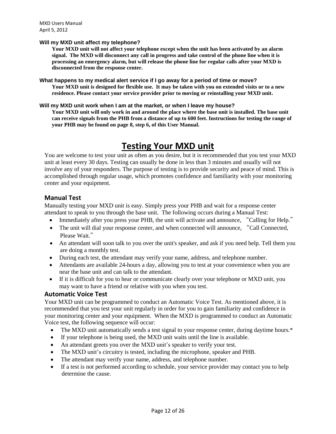#### **Will my MXD unit affect my telephone?**

**Your MXD unit will not affect your telephone except when the unit has been activated by an alarm signal. The MXD will disconnect any call in progress and take control of the phone line when it is processing an emergency alarm, but will release the phone line for regular calls after your MXD is disconnected from the response center.** 

**What happens to my medical alert service if I go away for a period of time or move?**

**Your MXD unit is designed for flexible use. It may be taken with you on extended visits or to a new residence. Please contact your service provider prior to moving or reinstalling your MXD unit.**

**Will my MXD unit work when I am at the market, or when I leave my house?**

**Your MXD unit will only work in and around the place where the base unit is installed. The base unit can receive signals from the PHB from a distance of up to 600 feet. Instructions for testing the range of your PHB may be found on page 8, step 6, of this User Manual.**

# **Testing Your MXD unit**

You are welcome to test your unit as often as you desire, but it is recommended that you test your MXD unit at least every 30 days. Testing can usually be done in less than 3 minutes and usually will not involve any of your responders. The purpose of testing is to provide security and peace of mind. This is accomplished through regular usage, which promotes confidence and familiarity with your monitoring center and your equipment.

### **Manual Test**

Manually testing your MXD unit is easy. Simply press your PHB and wait for a response center attendant to speak to you through the base unit. The following occurs during a Manual Test:

- Immediately after you press your PHB, the unit will activate and announce, "Calling for Help."
- The unit will dial your response center, and when connected will announce, "Call Connected, Please Wait."
- An attendant will soon talk to you over the unit's speaker, and ask if you need help. Tell them you are doing a monthly test.
- During each test, the attendant may verify your name, address, and telephone number.
- Attendants are available 24-hours a day, allowing you to test at your convenience when you are near the base unit and can talk to the attendant.
- If it is difficult for you to hear or communicate clearly over your telephone or MXD unit, you may want to have a friend or relative with you when you test.

#### **Automatic Voice Test**

Your MXD unit can be programmed to conduct an Automatic Voice Test. As mentioned above, it is recommended that you test your unit regularly in order for you to gain familiarity and confidence in your monitoring center and your equipment. When the MXD is programmed to conduct an Automatic Voice test, the following sequence will occur:

- The MXD unit automatically sends a test signal to your response center, during daytime hours.\*
- If your telephone is being used, the MXD unit waits until the line is available.
- An attendant greets you over the MXD unit's speaker to verify your test.
- The MXD unit's circuitry is tested, including the microphone, speaker and PHB.
- The attendant may verify your name, address, and telephone number.
- If a test is not performed according to schedule, your service provider may contact you to help determine the cause.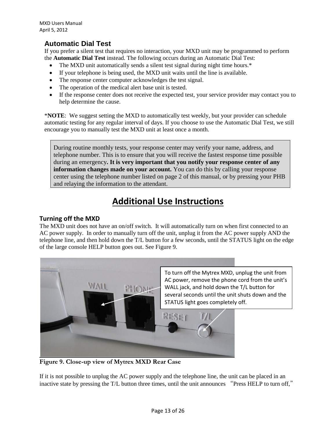# **Automatic Dial Test**

If you prefer a silent test that requires no interaction, your MXD unit may be programmed to perform the **Automatic Dial Test** instead. The following occurs during an Automatic Dial Test:

- The MXD unit automatically sends a silent test signal during night time hours.\*
- If your telephone is being used, the MXD unit waits until the line is available.
- The response center computer acknowledges the test signal.
- The operation of the medical alert base unit is tested.
- If the response center does not receive the expected test, your service provider may contact you to help determine the cause.

\***NOTE**: We suggest setting the MXD to automatically test weekly, but your provider can schedule automatic testing for any regular interval of days. If you choose to use the Automatic Dial Test, we still encourage you to manually test the MXD unit at least once a month.

During routine monthly tests, your response center may verify your name, address, and telephone number. This is to ensure that you will receive the fastest response time possible during an emergency**. It is very important that you notify your response center of any information changes made on your account.** You can do this by calling your response center using the telephone number listed on page 2 of this manual, or by pressing your PHB and relaying the information to the attendant.

# **Additional Use Instructions**

# **Turning off the MXD**

The MXD unit does not have an on/off switch. It will automatically turn on when first connected to an AC power supply. In order to manually turn off the unit, unplug it from the AC power supply AND the telephone line, and then hold down the T/L button for a few seconds, until the STATUS light on the edge of the large console HELP button goes out. See Figure 9.



**Figure 9. Close-up view of Mytrex MXD Rear Case** 

If it is not possible to unplug the AC power supply and the telephone line, the unit can be placed in an inactive state by pressing the T/L button three times, until the unit announces "Press HELP to turn off,"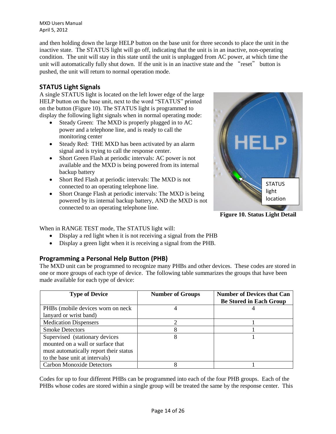and then holding down the large HELP button on the base unit for three seconds to place the unit in the inactive state. The STATUS light will go off, indicating that the unit is in an inactive, non-operating condition. The unit will stay in this state until the unit is unplugged from AC power, at which time the unit will automatically fully shut down. If the unit is in an inactive state and the "reset" button is pushed, the unit will return to normal operation mode.

# **STATUS Light Signals**

A single STATUS light is located on the left lower edge of the large HELP button on the base unit, next to the word "STATUS" printed on the button (Figure 10). The STATUS light is programmed to display the following light signals when in normal operating mode:

- Steady Green: The MXD is properly plugged in to AC power and a telephone line, and is ready to call the monitoring center
- Steady Red: THE MXD has been activated by an alarm signal and is trying to call the response center.
- Short Green Flash at periodic intervals: AC power is not available and the MXD is being powered from its internal backup battery
- Short Red Flash at periodic intervals: The MXD is not connected to an operating telephone line.
- Short Orange Flash at periodic intervals: The MXD is being powered by its internal backup battery, AND the MXD is not connected to an operating telephone line.



**Figure 10. Status Light Detail**

When in RANGE TEST mode, The STATUS light will:

- Display a red light when it is not receiving a signal from the PHB
- Display a green light when it is receiving a signal from the PHB.

# **Programming a Personal Help Button (PHB)**

The MXD unit can be programmed to recognize many PHBs and other devices. These codes are stored in one or more groups of each type of device. The following table summarizes the groups that have been made available for each type of device:

| <b>Type of Device</b>                  | <b>Number of Groups</b> | <b>Number of Devices that Can</b><br><b>Be Stored in Each Group</b> |
|----------------------------------------|-------------------------|---------------------------------------------------------------------|
| PHBs (mobile devices worn on neck)     |                         |                                                                     |
| lanyard or wrist band)                 |                         |                                                                     |
| <b>Medication Dispensers</b>           |                         |                                                                     |
| <b>Smoke Detectors</b>                 |                         |                                                                     |
| Supervised (stationary devices)        | 8                       |                                                                     |
| mounted on a wall or surface that      |                         |                                                                     |
| must automatically report their status |                         |                                                                     |
| to the base unit at intervals)         |                         |                                                                     |
| <b>Carbon Monoxide Detectors</b>       |                         |                                                                     |

Codes for up to four different PHBs can be programmed into each of the four PHB groups. Each of the PHBs whose codes are stored within a single group will be treated the same by the response center. This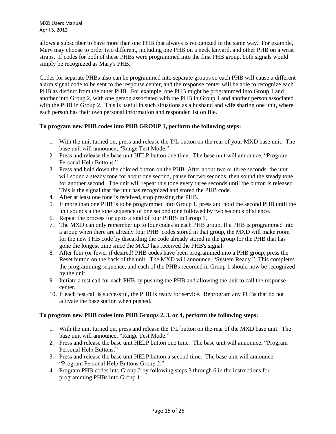allows a subscriber to have more than one PHB that always is recognized in the same way. For example, Mary may choose to order two different, including one PHB on a neck lanyard, and other PHB on a wrist straps. If codes for both of these PHBs were programmed into the first PHB group, both signals would simply be recognized as Mary's PHB.

Codes for separate PHBs also can be programmed into separate groups so each PHB will cause a different alarm signal code to be sent to the response center, and the response center will be able to recognize each PHB as distinct from the other PHB. For example, one PHB might be programmed into Group 1 and another into Group 2, with one person associated with the PHB in Group 1 and another person associated with the PHB in Group 2. This is useful in such situations as a husband and wife sharing one unit, where each person has their own personal information and responder list on file.

### **To program new PHB codes into PHB GROUP 1, perform the following steps:**

- 1. With the unit turned on, press and release the T/L button on the rear of your MXD base unit. The base unit will announce, "Range Test Mode."
- 2. Press and release the base unit HELP button one time. The base unit will announce, "Program Personal Help Buttons."
- 3. Press and hold down the colored button on the PHB. After about two or three seconds, the unit will sound a steady tone for about one second, pause for two seconds, then sound the steady tone for another second. The unit will repeat this tone every three seconds until the button is released. This is the signal that the unit has recognized and stored the PHB code.
- 4. After at least one tone is received, stop pressing the PHB.
- 5. If more than one PHB is to be programmed into Group 1, press and hold the second PHB until the unit sounds a the tone sequence of one second tone followed by two seconds of silence.
- 6. Repeat the process for up to a total of four PHBS in Group 1.
- 7. The MXD can only remember up to four codes in each PHB group. If a PHB is programmed into a group when there are already four PHB codes stored in that group, the MXD will make room for the new PHB code by discarding the code already stored in the group for the PHB that has gone the longest time since the MXD has received the PHB's signal.
- 8. After four (or fewer if desired) PHB codes have been programmed into a PHB group, press the Reset button on the back of the unit. The MXD will announce, "System Ready." This completes the programming sequence, and each of the PHBs recorded in Group 1 should now be recognized by the unit.
- 9. Initiate a test call for each PHB by pushing the PHB and allowing the unit to call the response center.
- 10. If each test call is successful, the PHB is ready for service. Reprogram any PHBs that do not activate the base station when pushed.

# **To program new PHB codes into PHB Groups 2, 3, or 4, perform the following steps:**

- 1. With the unit turned on, press and release the T/L button on the rear of the MXD base unit. The base unit will announce, "Range Test Mode."
- 2. Press and release the base unit HELP button one time. The base unit will announce, "Program Personal Help Buttons."
- 3. Press and release the base unit HELP button a second time. The base unit will announce, "Program Personal Help Buttons Group 2."
- 4. Program PHB codes into Group 2 by following steps 3 through 6 in the instructions for programming PHBs into Group 1.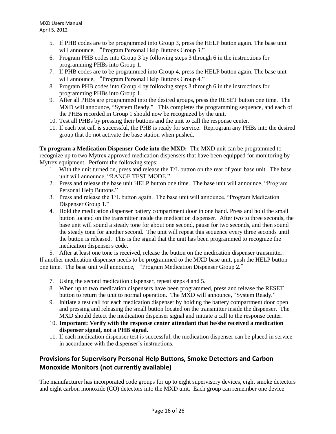- 5. If PHB codes are to be programmed into Group 3, press the HELP button again. The base unit will announce, "Program Personal Help Buttons Group 3."
- 6. Program PHB codes into Group 3 by following steps 3 through 6 in the instructions for programming PHBs into Group 1.
- 7. If PHB codes are to be programmed into Group 4, press the HELP button again. The base unit will announce, "Program Personal Help Buttons Group 4."
- 8. Program PHB codes into Group 4 by following steps 3 through 6 in the instructions for programming PHBs into Group 1.
- 9. After all PHBs are programmed into the desired groups, press the RESET button one time. The MXD will announce, "System Ready." This completes the programming sequence, and each of the PHBs recorded in Group 1 should now be recognized by the unit.
- 10. Test all PHBs by pressing their buttons and the unit to call the response center.
- 11. If each test call is successful, the PHB is ready for service. Reprogram any PHBs into the desired group that do not activate the base station when pushed.

**To program a Medication Dispenser Code into the MXD:** The MXD unit can be programmed to recognize up to two Mytrex approved medication dispensers that have been equipped for monitoring by Mytrex equipment. Perform the following steps:

- 1. With the unit turned on, press and release the T/L button on the rear of your base unit. The base unit will announce, "RANGE TEST MODE."
- 2. Press and release the base unit HELP button one time. The base unit will announce, "Program Personal Help Buttons."
- 3. Press and release the T/L button again. The base unit will announce, "Program Medication Dispenser Group 1."
- 4. Hold the medication dispenser battery compartment door in one hand. Press and hold the small button located on the transmitter inside the medication dispenser. After two to three seconds, the base unit will sound a steady tone for about one second, pause for two seconds, and then sound the steady tone for another second. The unit will repeat this sequence every three seconds until the button is released. This is the signal that the unit has been programmed to recognize the medication dispenser's code.

5. After at least one tone is received, release the button on the medication dispenser transmitter. If another medication dispenser needs to be programmed to the MXD base unit, push the HELP button one time. The base unit will announce, "Program Medication Dispenser Group 2."

- 7. Using the second medication dispenser, repeat steps 4 and 5.
- 8. When up to two medication dispensers have been programmed, press and release the RESET button to return the unit to normal operation. The MXD will announce, "System Ready."
- 9. Initiate a test call for each medication dispenser by holding the battery compartment door open and pressing and releasing the small button located on the transmitter inside the dispenser. The MXD should detect the medication dispenser signal and initiate a call to the response center.
- 10. **Important: Verify with the response center attendant that he/she received a medication dispenser signal, not a PHB signal.**
- 11. If each medication dispenser test is successful, the medication dispenser can be placed in service in accordance with the dispenser's instructions.

# **Provisions for Supervisory Personal Help Buttons, Smoke Detectors and Carbon Monoxide Monitors (not currently available)**

The manufacturer has incorporated code groups for up to eight supervisory devices, eight smoke detectors and eight carbon monoxide (CO) detectors into the MXD unit. Each group can remember one device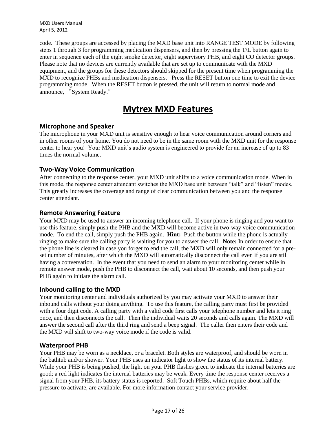code. These groups are accessed by placing the MXD base unit into RANGE TEST MODE by following steps 1 through 3 for programming medication dispensers, and then by pressing the T/L button again to enter in sequence each of the eight smoke detector, eight supervisory PHB, and eight CO detector groups. Please note that no devices are currently available that are set up to communicate with the MXD equipment, and the groups for these detectors should skipped for the present time when programming the MXD to recognize PHBs and medication dispensers. Press the RESET button one time to exit the device programming mode. When the RESET button is pressed, the unit will return to normal mode and announce, "System Ready."

# **Mytrex MXD Features**

# **Microphone and Speaker**

The microphone in your MXD unit is sensitive enough to hear voice communication around corners and in other rooms of your home. You do not need to be in the same room with the MXD unit for the response center to hear you! Your MXD unit's audio system is engineered to provide for an increase of up to 83 times the normal volume.

# **Two-Way Voice Communication**

After connecting to the response center, your MXD unit shifts to a voice communication mode. When in this mode, the response center attendant switches the MXD base unit between "talk" and "listen" modes. This greatly increases the coverage and range of clear communication between you and the response center attendant.

# **Remote Answering Feature**

Your MXD may be used to answer an incoming telephone call. If your phone is ringing and you want to use this feature, simply push the PHB and the MXD will become active in two-way voice communication mode. To end the call, simply push the PHB again. **Hint:** Push the button while the phone is actually ringing to make sure the calling party is waiting for you to answer the call. **Note:** In order to ensure that the phone line is cleared in case you forget to end the call, the MXD will only remain connected for a preset number of minutes, after which the MXD will automatically disconnect the call even if you are still having a conversation. In the event that you need to send an alarm to your monitoring center while in remote answer mode, push the PHB to disconnect the call, wait about 10 seconds, and then push your PHB again to initiate the alarm call.

# **Inbound calling to the MXD**

Your monitoring center and individuals authorized by you may activate your MXD to answer their inbound calls without your doing anything. To use this feature, the calling party must first be provided with a four digit code. A calling party with a valid code first calls your telephone number and lets it ring once, and then disconnects the call. Then the individual waits 20 seconds and calls again. The MXD will answer the second call after the third ring and send a beep signal. The caller then enters their code and the MXD will shift to two-way voice mode if the code is valid.

# **Waterproof PHB**

Your PHB may be worn as a necklace, or a bracelet. Both styles are waterproof, and should be worn in the bathtub and/or shower. Your PHB uses an indicator light to show the status of its internal battery. While your PHB is being pushed, the light on your PHB flashes green to indicate the internal batteries are good; a red light indicates the internal batteries may be weak. Every time the response center receives a signal from your PHB, its battery status is reported. Soft Touch PHBs, which require about half the pressure to activate, are available. For more information contact your service provider.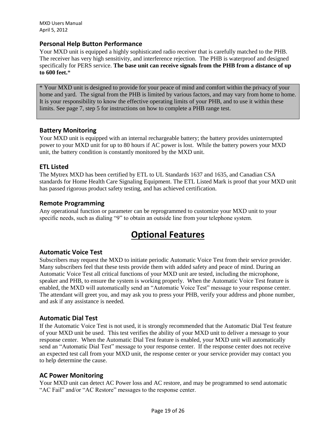### **Personal Help Button Performance**

Your MXD unit is equipped a highly sophisticated radio receiver that is carefully matched to the PHB. The receiver has very high sensitivity, and interference rejection. The PHB is waterproof and designed specifically for PERS service. **The base unit can receive signals from the PHB from a distance of up to 600 feet.**\*

\* Your MXD unit is designed to provide for your peace of mind and comfort within the privacy of your home and yard. The signal from the PHB is limited by various factors, and may vary from home to home. It is your responsibility to know the effective operating limits of your PHB, and to use it within these limits. See page 7, step 5 for instructions on how to complete a PHB range test.

# **Battery Monitoring**

Your MXD unit is equipped with an internal rechargeable battery; the battery provides uninterrupted power to your MXD unit for up to 80 hours if AC power is lost. While the battery powers your MXD unit, the battery condition is constantly monitored by the MXD unit.

### **ETL Listed**

The Mytrex MXD has been certified by ETL to UL Standards 1637 and 1635, and Canadian CSA standards for Home Health Care Signaling Equipment. The ETL Listed Mark is proof that your MXD unit has passed rigorous product safety testing, and has achieved certification.

### **Remote Programming**

Any operational function or parameter can be reprogrammed to customize your MXD unit to your specific needs, such as dialing "9" to obtain an outside line from your telephone system.

# **Optional Features**

#### **Automatic Voice Test**

Subscribers may request the MXD to initiate periodic Automatic Voice Test from their service provider. Many subscribers feel that these tests provide them with added safety and peace of mind. During an Automatic Voice Test all critical functions of your MXD unit are tested, including the microphone, speaker and PHB, to ensure the system is working properly. When the Automatic Voice Test feature is enabled, the MXD will automatically send an "Automatic Voice Test" message to your response center. The attendant will greet you, and may ask you to press your PHB, verify your address and phone number, and ask if any assistance is needed.

#### **Automatic Dial Test**

If the Automatic Voice Test is not used, it is strongly recommended that the Automatic Dial Test feature of your MXD unit be used. This test verifies the ability of your MXD unit to deliver a message to your response center. When the Automatic Dial Test feature is enabled, your MXD unit will automatically send an "Automatic Dial Test" message to your response center. If the response center does not receive an expected test call from your MXD unit, the response center or your service provider may contact you to help determine the cause.

# **AC Power Monitoring**

Your MXD unit can detect AC Power loss and AC restore, and may be programmed to send automatic "AC Fail" and/or "AC Restore" messages to the response center.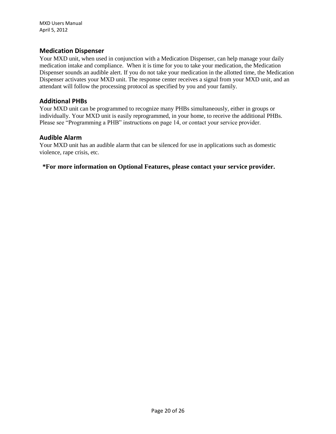### **Medication Dispenser**

Your MXD unit, when used in conjunction with a Medication Dispenser, can help manage your daily medication intake and compliance. When it is time for you to take your medication, the Medication Dispenser sounds an audible alert. If you do not take your medication in the allotted time, the Medication Dispenser activates your MXD unit. The response center receives a signal from your MXD unit, and an attendant will follow the processing protocol as specified by you and your family.

### **Additional PHBs**

Your MXD unit can be programmed to recognize many PHBs simultaneously, either in groups or individually. Your MXD unit is easily reprogrammed, in your home, to receive the additional PHBs. Please see "Programming a PHB" instructions on page 14, or contact your service provider.

#### **Audible Alarm**

Your MXD unit has an audible alarm that can be silenced for use in applications such as domestic violence, rape crisis, etc.

**\*For more information on Optional Features, please contact your service provider.**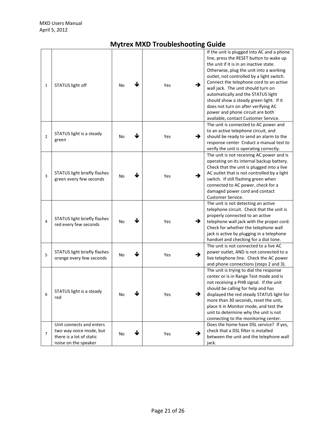# **Mytrex MXD Troubleshooting Guide**

| $\mathbf{1}$   | STATUS light off                                                                                        | ↓<br>No | →<br>Yes             | If the unit is plugged into AC and a phone<br>line, press the RESET button to wake up<br>the unit if it is in an inactive state.<br>Otherwise, plug the unit into a working<br>outlet, not controlled by a light switch.<br>Connect the telephone cord to an active<br>wall jack. The unit should turn on<br>automatically and the STATUS light<br>should show a steady green light. If it<br>does not turn on after verifying AC<br>power and phone circuit are both<br>available, contact Customer Service. |
|----------------|---------------------------------------------------------------------------------------------------------|---------|----------------------|---------------------------------------------------------------------------------------------------------------------------------------------------------------------------------------------------------------------------------------------------------------------------------------------------------------------------------------------------------------------------------------------------------------------------------------------------------------------------------------------------------------|
| $\overline{2}$ | STATUS light is a steady<br>green                                                                       | ↓<br>No | →<br>Yes             | The unit is connected to AC power and<br>to an active telephone circuit, and<br>should be ready to send an alarm to the<br>response center Cnduct a manual test to<br>verify the unit is operating correctly.                                                                                                                                                                                                                                                                                                 |
| 3              | STATUS light briefly flashes<br>green every few seconds                                                 | ↓<br>No | $\rightarrow$<br>Yes | The unit is not receiving AC power and is<br>operating on its internal backup battery.<br>Check that the unit is plugged into a live<br>AC outlet that is not controlled by a light<br>switch. If still flashing green when<br>connected to AC power, check for a<br>damaged power cord and contact<br>Customer Service.                                                                                                                                                                                      |
| $\overline{4}$ | STATUS light briefly flashes<br>red every few seconds                                                   | ↓<br>No | →<br>Yes             | The unit is not detecting an active<br>telephone circuit. Check that the unit is<br>properly connected to an active<br>telephone wall jack with the proper cord.<br>Check for whether the telephone wall<br>jack is active by plugging in a telephone<br>handset and checking for a dial tone.                                                                                                                                                                                                                |
| 5              | STATUS light briefly flashes<br>orange every few seconds                                                | ↓<br>No | →<br>Yes             | The unit is not connected to a live AC<br>power outlet, AND is not connected to a<br>live telephone line. Check the AC power<br>and phone connections (steps 2 and 3).                                                                                                                                                                                                                                                                                                                                        |
| b              | STATUS light is a steady<br>red                                                                         | NO.     | Yes                  | The unit is trying to dial the response<br>center or is in Range Test mode and is<br>not receiving a PHB signal. If the unit<br>should be calling for help and has<br>displayed the red steady STATUS light for<br>more than 30 seconds, reset the unit,<br>place it in Monitor mode, and test the<br>unit to determine why the unit is not<br>connecting to the monitoring center.                                                                                                                           |
| $\overline{7}$ | Unit connects and enters<br>two way voice mode, but<br>there is a lot of static<br>noise on the speaker | ↓<br>No | →<br>Yes             | Does the home have DSL service? If yes,<br>check that a DSL filter is installed<br>between the unit and the telephone wall<br>jack.                                                                                                                                                                                                                                                                                                                                                                           |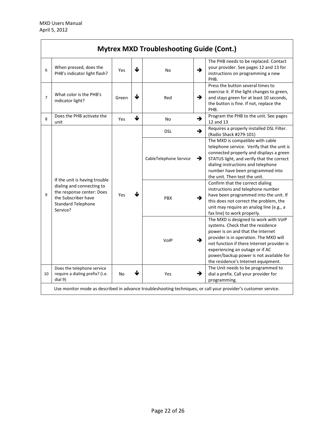| <b>Mytrex MXD Troubleshooting Guide (Cont.)</b>                                                                |                                                                                                                                                         |            |                 |                        |               |                                                                                                                                                                                                                                                                                                                              |
|----------------------------------------------------------------------------------------------------------------|---------------------------------------------------------------------------------------------------------------------------------------------------------|------------|-----------------|------------------------|---------------|------------------------------------------------------------------------------------------------------------------------------------------------------------------------------------------------------------------------------------------------------------------------------------------------------------------------------|
| 6                                                                                                              | When pressed, does the<br>PHB's indicator light flash?                                                                                                  | Yes        | ↓               | <b>No</b>              | →             | The PHB needs to be replaced. Contact<br>your provider. See pages 12 and 13 for<br>instructions on programming a new<br>PHB.                                                                                                                                                                                                 |
| $\overline{7}$                                                                                                 | What color is the PHB's<br>indicator light?                                                                                                             | Green      | $\blacklozenge$ | Red                    | $\rightarrow$ | Press the button several times to<br>exercise it. If the light changes to green,<br>and stays green for at least 10 seconds,<br>the button is fine. If not, replace the<br>PHB.                                                                                                                                              |
| 8                                                                                                              | Does the PHB activate the<br>unit                                                                                                                       | Yes        | ↓               | No                     | →             | Program the PHB to the unit. See pages<br>12 and 13                                                                                                                                                                                                                                                                          |
| 9                                                                                                              | If the unit is having trouble<br>dialing and connecting to<br>the response center: Does<br>the Subscriber have<br><b>Standard Telephone</b><br>Service? | <b>Yes</b> | ↓               | <b>DSL</b>             | →             | Requires a properly installed DSL Filter.<br>(Radio Shack #279-101)                                                                                                                                                                                                                                                          |
|                                                                                                                |                                                                                                                                                         |            |                 | CableTelephone Service | →             | The MXD is compatible with cable<br>telephone service. Verify that the unit is<br>connected properly and displays a green<br>STATUS light, and verify that the correct<br>dialing instructions and telephone<br>number have been programmed into<br>the unit. Then test the unit.                                            |
|                                                                                                                |                                                                                                                                                         |            |                 | <b>PBX</b>             | →             | Confirm that the correct dialing<br>instructions and telephone number<br>have been programmed into the unit. If<br>this does not correct the problem, the<br>unit may require an analog line (e.g., a<br>fax line) to work properly.                                                                                         |
|                                                                                                                |                                                                                                                                                         |            |                 | VolP                   | →             | The MXD is designed to work with VoIP<br>systems. Check that the residence<br>power is on and that the Internet<br>provider is in operation. The MXD will<br>not function if there Internet provider is<br>experiencing an outage or if AC<br>power/backup power is not available for<br>the residence's Internet equipment. |
| 10                                                                                                             | Does the telephone service<br>require a dialing prefix? (i.e.<br>dial 9)                                                                                | No         | ↓               | Yes                    | →             | The Unit needs to be programmed to<br>dial a prefix. Call your provider for<br>programming.                                                                                                                                                                                                                                  |
| Use monitor mode as described in advance troubleshooting techniques, or call your provider's customer service. |                                                                                                                                                         |            |                 |                        |               |                                                                                                                                                                                                                                                                                                                              |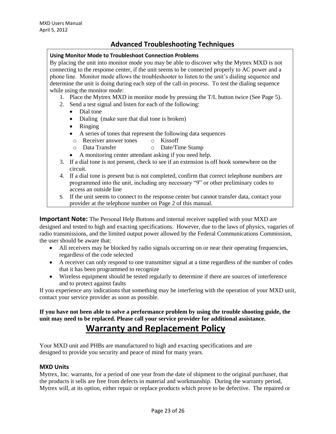# **Advanced Troubleshooting Techniques**

#### **Using Monitor Mode to Troubleshoot Connection Problems**

By placing the unit into monitor mode you may be able to discover why the Mytrex MXD is not connecting to the response center, if the unit seems to be connected properly to AC power and a phone line. Monitor mode allows the troubleshooter to listen to the unit's dialing sequence and determine the unit is doing during each step of the call-in process. To test the dialing sequence while using the monitor mode:

- 1. Place the Mytrex MXD in monitor mode by pressing the T/L button twice (See Page 5).
- 2. Send a test signal and listen for each of the following:
	- Dial tone
	- Dialing (make sure that dial tone is broken)
	- Ringing
	- A series of tones that represent the following data sequences
	- o Receiver answer tones o Kissoff
	- o Data Transfer o Date/Time Stamp
	- A monitoring center attendant asking if you need help.
- 3. If a dial tone is not present, check to see if an extension is off hook somewhere on the circuit.
- 4. If a dial tone is present but is not completed, confirm that correct telephone numbers are programmed into the unit, including any necessary "9" or other preliminary codes to access an outside line
- 5. If the unit seems to connect to the response center but cannot transfer data, contact your provider at the telephone number on Page 2 of this manual.

**Important Note:** The Personal Help Buttons and internal receiver supplied with your MXD are designed and tested to high and exacting specifications. However, due to the laws of physics, vagaries of radio transmissions, and the limited output power allowed by the Federal Communications Commission, the user should be aware that:

- All receivers may be blocked by radio signals occurring on or near their operating frequencies, regardless of the code selected
- A receiver can only respond to one transmitter signal at a time regardless of the number of codes that it has been programmed to recognize
- Wireless equipment should be tested regularly to determine if there are sources of interference and to protect against faults

If you experience any indications that something may be interfering with the operation of your MXD unit, contact your service provider as soon as possible.

**If you have not been able to solve a performance problem by using the trouble shooting guide, the unit may need to be replaced. Please call your service provider for additional assistance.**

# **Warranty and Replacement Policy**

Your MXD unit and PHBs are manufactured to high and exacting specifications and are designed to provide you security and peace of mind for many years.

#### **MXD Units**

Mytrex, Inc. warrants, for a period of one year from the date of shipment to the original purchaser, that the products it sells are free from defects in material and workmanship. During the warranty period, Mytrex will, at its option, either repair or replace products which prove to be defective. The repaired or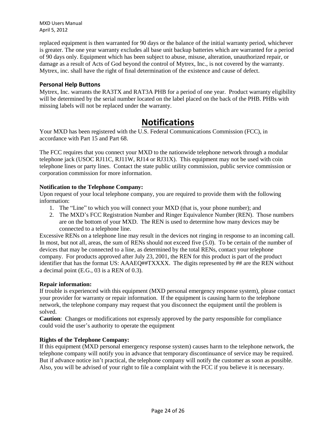replaced equipment is then warranted for 90 days or the balance of the initial warranty period, whichever is greater. The one year warranty excludes all base unit backup batteries which are warranted for a period of 90 days only. Equipment which has been subject to abuse, misuse, alteration, unauthorized repair, or damage as a result of Acts of God beyond the control of Mytrex, Inc., is not covered by the warranty. Mytrex, inc. shall have the right of final determination of the existence and cause of defect.

### **Personal Help Buttons**

Mytrex, Inc. warrants the RA3TX and RAT3A PHB for a period of one year. Product warranty eligibility will be determined by the serial number located on the label placed on the back of the PHB. PHBs with missing labels will not be replaced under the warranty.

# **Notifications**

Your MXD has been registered with the U.S. Federal Communications Commission (FCC), in accordance with Part 15 and Part 68.

The FCC requires that you connect your MXD to the nationwide telephone network through a modular telephone jack (USOC RJ11C, RJ11W, RJ14 or RJ31X). This equipment may not be used with coin telephone lines or party lines. Contact the state public utility commission, public service commission or corporation commission for more information.

### **Notification to the Telephone Company:**

Upon request of your local telephone company, you are required to provide them with the following information:

- 1. The "Line" to which you will connect your MXD (that is, your phone number); and
- 2. The MXD's FCC Registration Number and Ringer Equivalence Number (REN). Those numbers are on the bottom of your MXD. The REN is used to determine how many devices may be connected to a telephone line.

Excessive RENs on a telephone line may result in the devices not ringing in response to an incoming call. In most, but not all, areas, the sum of RENs should not exceed five (5.0). To be certain of the number of devices that may be connected to a line, as determined by the total RENs, contact your telephone company. For products approved after July 23, 2001, the REN for this product is part of the product identifier that has the format US: AAAEQ##TXXXX. The digits represented by ## are the REN without a decimal point (E.G., 03 is a REN of 0.3).

#### **Repair information:**

If trouble is experienced with this equipment (MXD personal emergency response system), please contact your provider for warranty or repair information. If the equipment is causing harm to the telephone network, the telephone company may request that you disconnect the equipment until the problem is solved.

**Caution**: Changes or modifications not expressly approved by the party responsible for compliance could void the user's authority to operate the equipment

# **Rights of the Telephone Company:**

If this equipment (MXD personal emergency response system) causes harm to the telephone network, the telephone company will notify you in advance that temporary discontinuance of service may be required. But if advance notice isn't practical, the telephone company will notify the customer as soon as possible. Also, you will be advised of your right to file a complaint with the FCC if you believe it is necessary.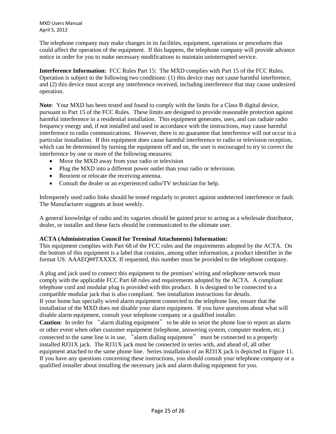The telephone company may make changes in its facilities, equipment, operations or procedures that could affect the operation of the equipment. If this happens, the telephone company will provide advance notice in order for you to make necessary modifications to maintain uninterrupted service.

**Interference Information:** FCC Rules Part 15: The MXD complies with Part 15 of the FCC Rules. Operation is subject to the following two conditions: (1) this device may not cause harmful interference, and (2) this device must accept any interference received, including interference that may cause undesired operation.

**Note**: Your MXD has been tested and found to comply with the limits for a Class B digital device, pursuant to Part 15 of the FCC Rules. These limits are designed to provide reasonable protection against harmful interference in a residential installation. This equipment generates, uses, and can radiate radio frequency energy and, if not installed and used in accordance with the instructions, may cause harmful interference to radio communications. However, there is no guarantee that interference will not occur in a particular installation. If this equipment does cause harmful interference to radio or television reception, which can be determined by turning the equipment off and on, the user is encouraged to try to correct the interference by one or more of the following measures:

- Move the MXD away from your radio or television
- Plug the MXD into a different power outlet than your radio or television.
- Reorient or relocate the receiving antenna.
- Consult the dealer or an experienced radio/TV technician for help.

Infrequently used radio links should be tested regularly to protect against undetected interference or fault. The Manufacturer suggests at least weekly.

A general knowledge of radio and its vagaries should be gained prior to acting as a wholesale distributor, dealer, or installer and these facts should be communicated to the ultimate user.

#### **ACTA (Administration Council for Terminal Attachments) Information:**

This equipment complies with Part 68 of the FCC rules and the requirements adopted by the ACTA. On the bottom of this equipment is a label that contains, among other information, a product identifier in the format US: AAAEQ##TXXXX. If requested, this number must be provided to the telephone company.

A plug and jack used to connect this equipment to the premises' wiring and telephone network must comply with the applicable FCC Part 68 rules and requirements adopted by the ACTA. A compliant telephone cord and modular plug is provided with this product. It is designed to be connected to a compatible modular jack that is also compliant. See installation instructions for details. If your home has specially wired alarm equipment connected to the telephone line, ensure that the installation of the MXD does not disable your alarm equipment. If you have questions about what will disable alarm equipment, consult your telephone company or a qualified installer. **Caution:** In order for "alarm dialing equipment" to be able to seize the phone line to report an alarm or other event when other customer equipment (telephone, answering system, computer modem, etc.) connected to the same line is in use, "alarm dialing equipment" must be connected to a properly installed RJ31X jack. The RJ31X jack must be connected in series with, and ahead of, all other equipment attached to the same phone line. Series installation of an RJ31X jack is depicted in Figure 11. If you have any questions concerning these instructions, you should consult your telephone company or a qualified installer about installing the necessary jack and alarm dialing equipment for you.